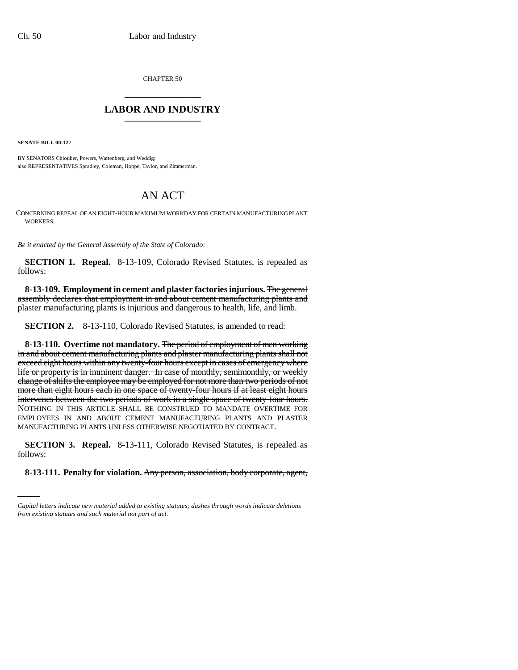CHAPTER 50 \_\_\_\_\_\_\_\_\_\_\_\_\_\_\_

## **LABOR AND INDUSTRY** \_\_\_\_\_\_\_\_\_\_\_\_\_\_\_

**SENATE BILL 00-127** 

BY SENATORS Chlouber, Powers, Wattenberg, and Weddig; also REPRESENTATIVES Spradley, Coleman, Hoppe, Taylor, and Zimmerman.

## AN ACT

CONCERNING REPEAL OF AN EIGHT-HOUR MAXIMUM WORKDAY FOR CERTAIN MANUFACTURING PLANT WORKERS.

*Be it enacted by the General Assembly of the State of Colorado:*

**SECTION 1. Repeal.** 8-13-109, Colorado Revised Statutes, is repealed as follows:

**8-13-109. Employment in cement and plaster factories injurious.** The general assembly declares that employment in and about cement manufacturing plants and plaster manufacturing plants is injurious and dangerous to health, life, and limb.

**SECTION 2.** 8-13-110, Colorado Revised Statutes, is amended to read:

**8-13-110. Overtime not mandatory.** The period of employment of men working in and about cement manufacturing plants and plaster manufacturing plants shall not exceed eight hours within any twenty-four hours except in cases of emergency where life or property is in imminent danger. In case of monthly, semimonthly, or weekly change of shifts the employee may be employed for not more than two periods of not more than eight hours each in one space of twenty-four hours if at least eight hours intervenes between the two periods of work in a single space of twenty-four hours. NOTHING IN THIS ARTICLE SHALL BE CONSTRUED TO MANDATE OVERTIME FOR EMPLOYEES IN AND ABOUT CEMENT MANUFACTURING PLANTS AND PLASTER MANUFACTURING PLANTS UNLESS OTHERWISE NEGOTIATED BY CONTRACT.

follows: **SECTION 3. Repeal.** 8-13-111, Colorado Revised Statutes, is repealed as

**8-13-111. Penalty for violation.** Any person, association, body corporate, agent,

*Capital letters indicate new material added to existing statutes; dashes through words indicate deletions from existing statutes and such material not part of act.*